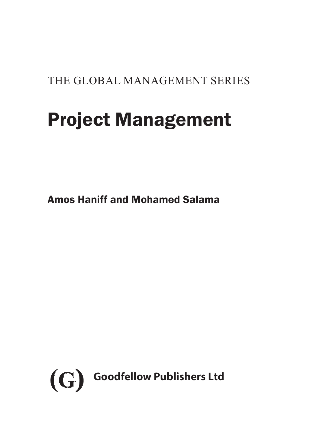THE GLOBAL MANAGEMENT SERIES

# Project Management

Amos Haniff and Mohamed Salama

<span id="page-0-0"></span>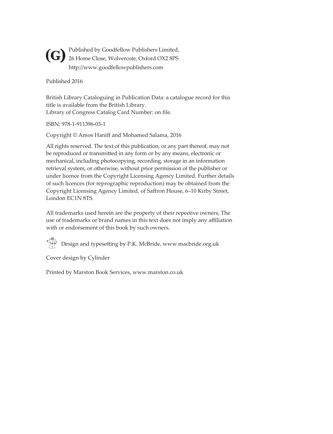Published by Goodfellow Publishers Limited, **(G)** Published by Goodfellow Publishers Limited<br>26 Home Close, Wolvercote, Oxford OX2 8PS http://www.goodfellowpublishers.com

Published 2016

British Library Cataloguing in Publication Data: a catalogue record for this title is available from the British Library. Library of Congress Catalog Card Number: on file.

ISBN: 978-1-911396-03-1

Copyright © Amos Haniff and Mohamed Salama, 2016

All rights reserved. The text of this publication, or any part thereof, may not be reproduced or transmitted in any form or by any means, electronic or mechanical, including photocopying, recording, storage in an information retrieval system, or otherwise, without prior permission of the publisher or under licence from the Copyright Licensing Agency Limited. Further details of such licences (for reprographic reproduction) may be obtained from the Copyright Licensing Agency Limited, of Saffron House, 6–10 Kirby Street, London EC1N 8TS.

All trademarks used herein are the property of their repective owners, The use of trademarks or brand names in this text does not imply any affiliation with or endorsement of this book by such owners.

 $\bigoplus_{n=1}^{\infty}$  Design and typesetting by P.K. McBride, www.macbride.org.uk

Cover design by Cylinder

Printed by Marston Book Services, www.marston.co.uk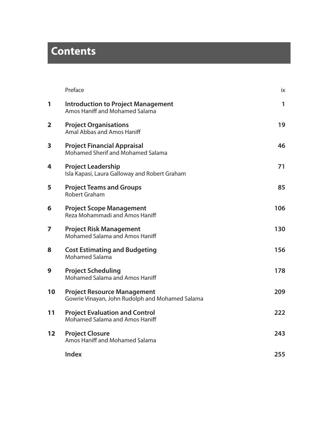# **Contents**

|                         | Preface                                                                               | ix  |
|-------------------------|---------------------------------------------------------------------------------------|-----|
| 1                       | <b>Introduction to Project Management</b><br>Amos Haniff and Mohamed Salama           | 1   |
| $\overline{\mathbf{2}}$ | <b>Project Organisations</b><br>Amal Abbas and Amos Haniff                            | 19  |
| 3                       | <b>Project Financial Appraisal</b><br>Mohamed Sherif and Mohamed Salama               | 46  |
| 4                       | <b>Project Leadership</b><br>Isla Kapasi, Laura Galloway and Robert Graham            | 71  |
| 5                       | <b>Project Teams and Groups</b><br>Robert Graham                                      | 85  |
| 6                       | <b>Project Scope Management</b><br>Reza Mohammadi and Amos Haniff                     | 106 |
| 7                       | <b>Project Risk Management</b><br>Mohamed Salama and Amos Haniff                      | 130 |
| 8                       | <b>Cost Estimating and Budgeting</b><br><b>Mohamed Salama</b>                         | 156 |
| 9                       | <b>Project Scheduling</b><br>Mohamed Salama and Amos Haniff                           | 178 |
| 10                      | <b>Project Resource Management</b><br>Gowrie Vinayan, John Rudolph and Mohamed Salama | 209 |
| 11                      | <b>Project Evaluation and Control</b><br>Mohamed Salama and Amos Haniff               | 222 |
| 12                      | <b>Project Closure</b><br>Amos Haniff and Mohamed Salama                              | 243 |
|                         | Index                                                                                 | 255 |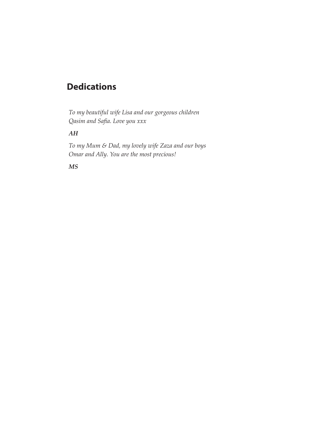### **Dedications**

*To my beautiful wife Lisa and our gorgeous children Qasim and Safia. Love you xxx*

#### *AH*

*To my Mum & Dad, my lovely wife Zaza and our boys Omar and Ally. You are the most precious!*

#### *MS*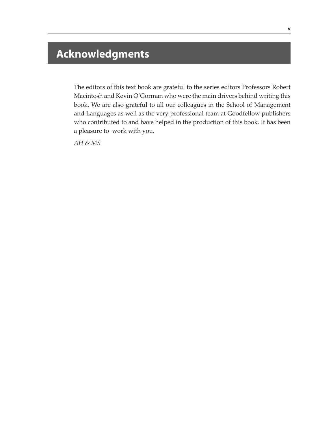## **Acknowledgments**

The editors of this text book are grateful to the series editors Professors Robert Macintosh and Kevin O'Gorman who were the main drivers behind writing this book. We are also grateful to all our colleagues in the School of Management and Languages as well as the very professional team at Goodfellow publishers who contributed to and have helped in the production of this book. It has been a pleasure to work with you.

*AH & MS*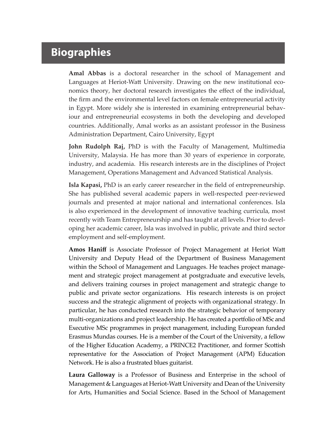## **Biographies**

**Amal Abbas** is a doctoral researcher in the school of Management and Languages at Heriot-Watt University. Drawing on the new institutional economics theory, her doctoral research investigates the effect of the individual, the firm and the environmental level factors on female entrepreneurial activity in Egypt. More widely she is interested in examining entrepreneurial behaviour and entrepreneurial ecosystems in both the developing and developed countries. Additionally, Amal works as an assistant professor in the Business Administration Department, Cairo University, Egypt

**John Rudolph Raj,** PhD is with the Faculty of Management, Multimedia University, Malaysia. He has more than 30 years of experience in corporate, industry, and academia. His research interests are in the disciplines of Project Management, Operations Management and Advanced Statistical Analysis.

**Isla Kapasi,** PhD is an early career researcher in the field of entrepreneurship. She has published several academic papers in well-respected peer-reviewed journals and presented at major national and international conferences. Isla is also experienced in the development of innovative teaching curricula, most recently with Team Entrepreneurship and has taught at all levels. Prior to developing her academic career, Isla was involved in public, private and third sector employment and self-employment.

**Amos Haniff** is Associate Professor of Project Management at Heriot Watt University and Deputy Head of the Department of Business Management within the School of Management and Languages. He teaches project management and strategic project management at postgraduate and executive levels, and delivers training courses in project management and strategic change to public and private sector organizations. His research interests is on project success and the strategic alignment of projects with organizational strategy. In particular, he has conducted research into the strategic behavior of temporary multi-organizations and project leadership. He has created a portfolio of MSc and Executive MSc programmes in project management, including European funded Erasmus Mundas courses. He is a member of the Court of the University, a fellow of the Higher Education Academy, a PRINCE2 Practitioner, and former Scottish representative for the Association of Project Management (APM) Education Network. He is also a frustrated blues guitarist.

**Laura Galloway** is a Professor of Business and Enterprise in the school of Management & Languages at Heriot-Watt University and Dean of the University for Arts, Humanities and Social Science. Based in the School of Management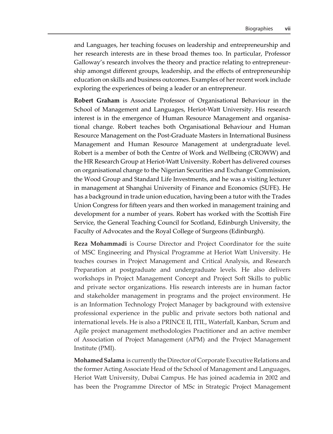and Languages, her teaching focuses on leadership and entrepreneurship and her research interests are in these broad themes too. In particular, Professor Galloway's research involves the theory and practice relating to entrepreneurship amongst different groups, leadership, and the effects of entrepreneurship education on skills and business outcomes. Examples of her recent work include exploring the experiences of being a leader or an entrepreneur.

**Robert Graham** is Associate Professor of Organisational Behaviour in the School of Management and Languages, Heriot-Watt University. His research interest is in the emergence of Human Resource Management and organisational change. Robert teaches both Organisational Behaviour and Human Resource Management on the Post-Graduate Masters in International Business Management and Human Resource Management at undergraduate level. Robert is a member of both the Centre of Work and Wellbeing (CROWW) and the HR Research Group at Heriot-Watt University. Robert has delivered courses on organisational change to the Nigerian Securities and Exchange Commission, the Wood Group and Standard Life Investments, and he was a visiting lecturer in management at Shanghai University of Finance and Economics (SUFE). He has a background in trade union education, having been a tutor with the Trades Union Congress for fifteen years and then worked in management training and development for a number of years. Robert has worked with the Scottish Fire Service, the General Teaching Council for Scotland, Edinburgh University, the Faculty of Advocates and the Royal College of Surgeons (Edinburgh).

**Reza Mohammadi** is Course Director and Project Coordinator for the suite of MSC Engineering and Physical Programme at Heriot Watt University. He teaches courses in Project Management and Critical Analysis, and Research Preparation at postgraduate and undergraduate levels. He also delivers workshops in Project Management Concept and Project Soft Skills to public and private sector organizations. His research interests are in human factor and stakeholder management in programs and the project environment. He is an Information Technology Project Manager by background with extensive professional experience in the public and private sectors both national and international levels. He is also a PRINCE II, ITIL, Waterfall, Kanban, Scrum and Agile project management methodologies Practitioner and an active member of Association of Project Management (APM) and the Project Management Institute (PMI).

**Mohamed Salama** is currently the Director of Corporate Executive Relations and the former Acting Associate Head of the School of Management and Languages, Heriot Watt University, Dubai Campus. He has joined academia in 2002 and has been the Programme Director of MSc in Strategic Project Management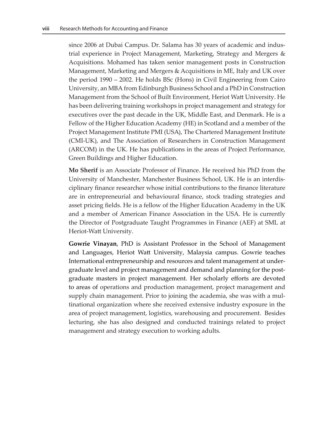since 2006 at Dubai Campus. Dr. Salama has 30 years of academic and industrial experience in Project Management, Marketing, Strategy and Mergers & Acquisitions. Mohamed has taken senior management posts in Construction Management, Marketing and Mergers & Acquisitions in ME, Italy and UK over the period 1990 – 2002. He holds BSc (Hons) in Civil Engineering from Cairo University, an MBA from Edinburgh Business School and a PhD in Construction Management from the School of Built Environment, Heriot Watt University. He has been delivering training workshops in project management and strategy for executives over the past decade in the UK, Middle East, and Denmark. He is a Fellow of the Higher Education Academy (HE) in Scotland and a member of the Project Management Institute PMI (USA), The Chartered Management Institute (CMI-UK), and The Association of Researchers in Construction Management (ARCOM) in the UK. He has publications in the areas of Project Performance, Green Buildings and Higher Education.

**Mo Sherif** is an Associate Professor of Finance. He received his PhD from the University of Manchester, Manchester Business School, UK. He is an interdisciplinary finance researcher whose initial contributions to the finance literature are in entrepreneurial and behavioural finance, stock trading strategies and asset pricing fields. He is a fellow of the Higher Education Academy in the UK and a member of American Finance Association in the USA. He is currently the Director of Postgraduate Taught Programmes in Finance (AEF) at SML at Heriot-Watt University.

**Gowrie Vinayan**, PhD is Assistant Professor in the School of Management and Languages, Heriot Watt University, Malaysia campus. Gowrie teaches International entrepreneurship and resources and talent management at undergraduate level and project management and demand and planning for the postgraduate masters in project management. Her scholarly efforts are devoted to areas of operations and production management, project management and supply chain management. Prior to joining the academia, she was with a multinational organization where she received extensive industry exposure in the area of project management, logistics, warehousing and procurement. Besides lecturing, she has also designed and conducted trainings related to project management and strategy execution to working adults.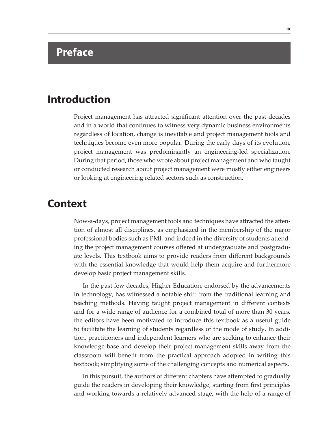## **Preface**

### **Introduction**

Project management has attracted significant attention over the past decades and in a world that continues to witness very dynamic business environments regardless of location, change is inevitable and project management tools and techniques become even more popular. During the early days of its evolution, project management was predominantly an engineering-led specialization. During that period, those who wrote about project management and who taught or conducted research about project management were mostly either engineers or looking at engineering related sectors such as construction.

#### **Context**

Now-a-days, project management tools and techniques have attracted the attention of almost all disciplines, as emphasized in the membership of the major professional bodies such as PMI, and indeed in the diversity of students attending the project management courses offered at undergraduate and postgraduate levels. This textbook aims to provide readers from different backgrounds with the essential knowledge that would help them acquire and furthermore develop basic project management skills.

In the past few decades, Higher Education, endorsed by the advancements in technology, has witnessed a notable shift from the traditional learning and teaching methods. Having taught project management in different contexts and for a wide range of audience for a combined total of more than 30 years, the editors have been motivated to introduce this textbook as a useful guide to facilitate the learning of students regardless of the mode of study. In addition, practitioners and independent learners who are seeking to enhance their knowledge base and develop their project management skills away from the classroom will benefit from the practical approach adopted in writing this textbook; simplifying some of the challenging concepts and numerical aspects.

In this pursuit, the authors of different chapters have attempted to gradually guide the readers in developing their knowledge, starting from first principles and working towards a relatively advanced stage, with the help of a range of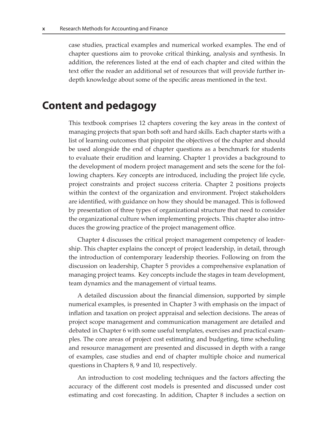case studies, practical examples and numerical worked examples. The end of chapter questions aim to provoke critical thinking, analysis and synthesis. In addition, the references listed at the end of each chapter and cited within the text offer the reader an additional set of resources that will provide further indepth knowledge about some of the specific areas mentioned in the text.

#### **Content and pedagogy**

This textbook comprises 12 chapters covering the key areas in the context of managing projects that span both soft and hard skills. Each chapter starts with a list of learning outcomes that pinpoint the objectives of the chapter and should be used alongside the end of chapter questions as a benchmark for students to evaluate their erudition and learning. Chapter 1 provides a background to the development of modern project management and sets the scene for the following chapters. Key concepts are introduced, including the project life cycle, project constraints and project success criteria. Chapter 2 positions projects within the context of the organization and environment. Project stakeholders are identified, with guidance on how they should be managed. This is followed by presentation of three types of organizational structure that need to consider the organizational culture when implementing projects. This chapter also introduces the growing practice of the project management office.

Chapter 4 discusses the critical project management competency of leadership. This chapter explains the concept of project leadership, in detail, through the introduction of contemporary leadership theories. Following on from the discussion on leadership, Chapter 5 provides a comprehensive explanation of managing project teams. Key concepts include the stages in team development, team dynamics and the management of virtual teams.

A detailed discussion about the financial dimension, supported by simple numerical examples, is presented in Chapter 3 with emphasis on the impact of inflation and taxation on project appraisal and selection decisions. The areas of project scope management and communication management are detailed and debated in Chapter 6 with some useful templates, exercises and practical examples. The core areas of project cost estimating and budgeting, time scheduling and resource management are presented and discussed in depth with a range of examples, case studies and end of chapter multiple choice and numerical questions in Chapters 8, 9 and 10, respectively.

An introduction to cost modeling techniques and the factors affecting the accuracy of the different cost models is presented and discussed under cost estimating and cost forecasting. In addition, Chapter 8 includes a section on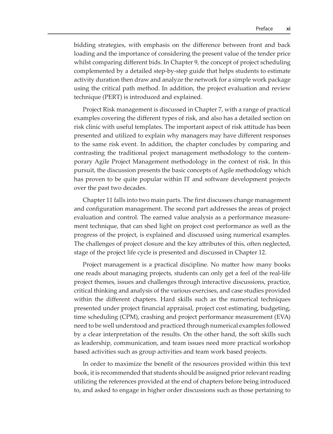bidding strategies, with emphasis on the difference between front and back loading and the importance of considering the present value of the tender price whilst comparing different bids. In Chapter 9, the concept of project scheduling complemented by a detailed step-by-step guide that helps students to estimate activity duration then draw and analyze the network for a simple work package using the critical path method. In addition, the project evaluation and review technique (PERT) is introduced and explained.

Project Risk management is discussed in Chapter 7, with a range of practical examples covering the different types of risk, and also has a detailed section on risk clinic with useful templates. The important aspect of risk attitude has been presented and utilized to explain why managers may have different responses to the same risk event. In addition, the chapter concludes by comparing and contrasting the traditional project management methodology to the contemporary Agile Project Management methodology in the context of risk. In this pursuit, the discussion presents the basic concepts of Agile methodology which has proven to be quite popular within IT and software development projects over the past two decades.

Chapter 11 falls into two main parts. The first discusses change management and configuration management. The second part addresses the areas of project evaluation and control. The earned value analysis as a performance measurement technique, that can shed light on project cost performance as well as the progress of the project, is explained and discussed using numerical examples. The challenges of project closure and the key attributes of this, often neglected, stage of the project life cycle is presented and discussed in Chapter 12.

Project management is a practical discipline. No matter how many books one reads about managing projects, students can only get a feel of the real-life project themes, issues and challenges through interactive discussions, practice, critical thinking and analysis of the various exercises, and case studies provided within the different chapters. Hard skills such as the numerical techniques presented under project financial appraisal, project cost estimating, budgeting, time scheduling (CPM), crashing and project performance measurement (EVA) need to be well understood and practiced through numerical examples followed by a clear interpretation of the results. On the other hand, the soft skills such as leadership, communication, and team issues need more practical workshop based activities such as group activities and team work based projects.

In order to maximize the benefit of the resources provided within this text book, it is recommended that students should be assigned prior relevant reading utilizing the references provided at the end of chapters before being introduced to, and asked to engage in higher order discussions such as those pertaining to